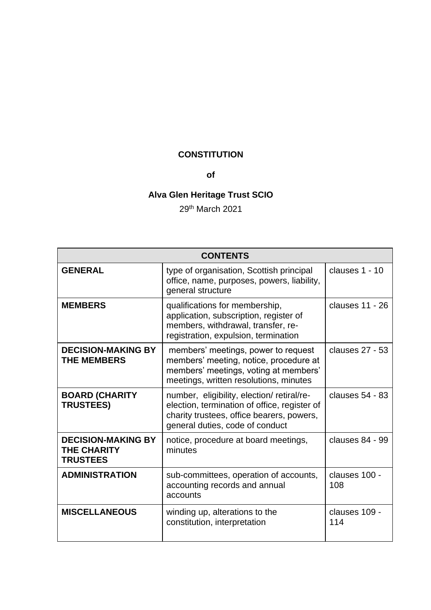# **CONSTITUTION**

# **of**

# **Alva Glen Heritage Trust SCIO**

29th March 2021

| <b>CONTENTS</b>                                                    |                                                                                                                                                                           |                      |
|--------------------------------------------------------------------|---------------------------------------------------------------------------------------------------------------------------------------------------------------------------|----------------------|
| <b>GENERAL</b>                                                     | type of organisation, Scottish principal<br>office, name, purposes, powers, liability,<br>general structure                                                               | clauses 1 - 10       |
| <b>MEMBERS</b>                                                     | qualifications for membership,<br>application, subscription, register of<br>members, withdrawal, transfer, re-<br>registration, expulsion, termination                    | clauses 11 - 26      |
| <b>DECISION-MAKING BY</b><br><b>THE MEMBERS</b>                    | members' meetings, power to request<br>members' meeting, notice, procedure at<br>members' meetings, voting at members'<br>meetings, written resolutions, minutes          | clauses 27 - 53      |
| <b>BOARD (CHARITY</b><br><b>TRUSTEES)</b>                          | number, eligibility, election/retiral/re-<br>election, termination of office, register of<br>charity trustees, office bearers, powers,<br>general duties, code of conduct | clauses 54 - 83      |
| <b>DECISION-MAKING BY</b><br><b>THE CHARITY</b><br><b>TRUSTEES</b> | notice, procedure at board meetings,<br>minutes                                                                                                                           | clauses 84 - 99      |
| <b>ADMINISTRATION</b>                                              | sub-committees, operation of accounts,<br>accounting records and annual<br>accounts                                                                                       | clauses 100 -<br>108 |
| <b>MISCELLANEOUS</b>                                               | winding up, alterations to the<br>constitution, interpretation                                                                                                            | clauses 109 -<br>114 |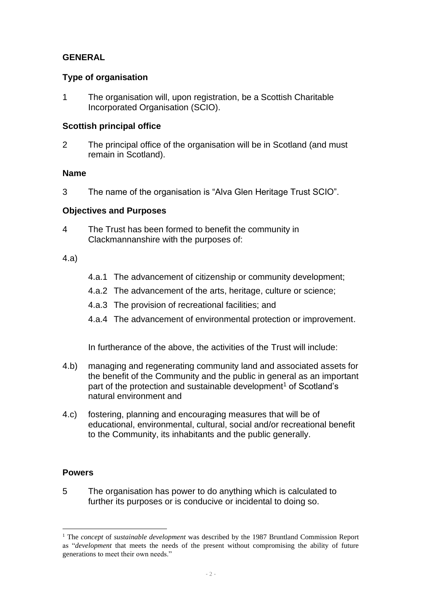## **GENERAL**

#### **Type of organisation**

<span id="page-1-0"></span>1 The organisation will, upon registration, be a Scottish Charitable Incorporated Organisation (SCIO).

## **Scottish principal office**

2 The principal office of the organisation will be in Scotland (and must remain in Scotland).

#### **Name**

3 The name of the organisation is "Alva Glen Heritage Trust SCIO".

#### **Objectives and Purposes**

4 The Trust has been formed to benefit the community in Clackmannanshire with the purposes of:

#### 4.a)

- 4.a.1 The advancement of citizenship or community development;
- 4.a.2 The advancement of the arts, heritage, culture or science;
- 4.a.3 The provision of recreational facilities; and
- 4.a.4 The advancement of environmental protection or improvement.

In furtherance of the above, the activities of the Trust will include:

- 4.b) managing and regenerating community land and associated assets for the benefit of the Community and the public in general as an important part of the protection and sustainable development<sup>1</sup> of Scotland's natural environment and
- 4.c) fostering, planning and encouraging measures that will be of educational, environmental, cultural, social and/or recreational benefit to the Community, its inhabitants and the public generally.

#### **Powers**

5 The organisation has power to do anything which is calculated to further its purposes or is conducive or incidental to doing so.

<sup>1</sup> The *concept* of *sustainable development* was described by the 1987 Bruntland Commission Report as "*development* that meets the needs of the present without compromising the ability of future generations to meet their own needs."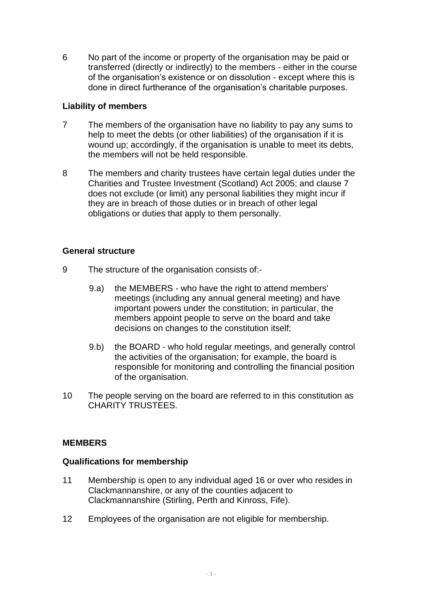6 No part of the income or property of the organisation may be paid or transferred (directly or indirectly) to the members - either in the course of the organisation's existence or on dissolution - except where this is done in direct furtherance of the organisation's charitable purposes.

## **Liability of members**

- 7 The members of the organisation have no liability to pay any sums to help to meet the debts (or other liabilities) of the organisation if it is wound up; accordingly, if the organisation is unable to meet its debts, the members will not be held responsible.
- 8 The members and charity trustees have certain legal duties under the Charities and Trustee Investment (Scotland) Act 2005; and clause 7 does not exclude (or limit) any personal liabilities they might incur if they are in breach of those duties or in breach of other legal obligations or duties that apply to them personally.

## **General structure**

- 9 The structure of the organisation consists of:-
	- 9.a) the MEMBERS who have the right to attend members' meetings (including any annual general meeting) and have important powers under the constitution; in particular, the members appoint people to serve on the board and take decisions on changes to the constitution itself;
	- 9.b) the BOARD who hold regular meetings, and generally control the activities of the organisation; for example, the board is responsible for monitoring and controlling the financial position of the organisation.
- <span id="page-2-0"></span>10 The people serving on the board are referred to in this constitution as CHARITY TRUSTEES.

# **MEMBERS**

#### **Qualifications for membership**

- <span id="page-2-1"></span>11 Membership is open to any individual aged 16 or over who resides in Clackmannanshire, or any of the counties adjacent to Clackmannanshire (Stirling, Perth and Kinross, Fife).
- 12 Employees of the organisation are not eligible for membership.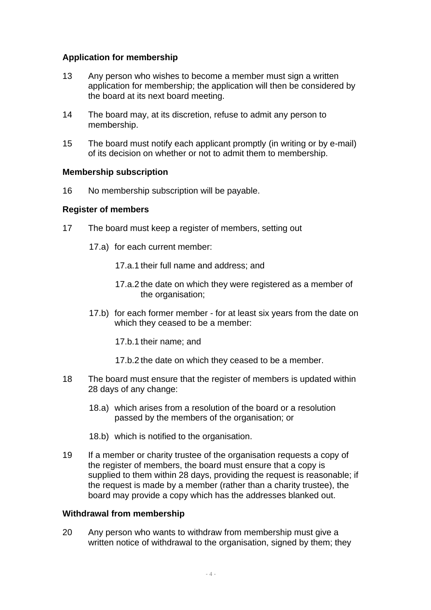## **Application for membership**

- 13 Any person who wishes to become a member must sign a written application for membership; the application will then be considered by the board at its next board meeting.
- 14 The board may, at its discretion, refuse to admit any person to membership.
- 15 The board must notify each applicant promptly (in writing or by e-mail) of its decision on whether or not to admit them to membership.

#### **Membership subscription**

16 No membership subscription will be payable.

#### **Register of members**

- 17 The board must keep a register of members, setting out
	- 17.a) for each current member:
		- 17.a.1 their full name and address; and
		- 17.a.2 the date on which they were registered as a member of the organisation:
	- 17.b) for each former member for at least six years from the date on which they ceased to be a member:
		- 17.b.1 their name; and
		- 17.b.2 the date on which they ceased to be a member.
- 18 The board must ensure that the register of members is updated within 28 days of any change:
	- 18.a) which arises from a resolution of the board or a resolution passed by the members of the organisation; or
	- 18.b) which is notified to the organisation.
- 19 If a member or charity trustee of the organisation requests a copy of the register of members, the board must ensure that a copy is supplied to them within 28 days, providing the request is reasonable; if the request is made by a member (rather than a charity trustee), the board may provide a copy which has the addresses blanked out.

#### **Withdrawal from membership**

20 Any person who wants to withdraw from membership must give a written notice of withdrawal to the organisation, signed by them; they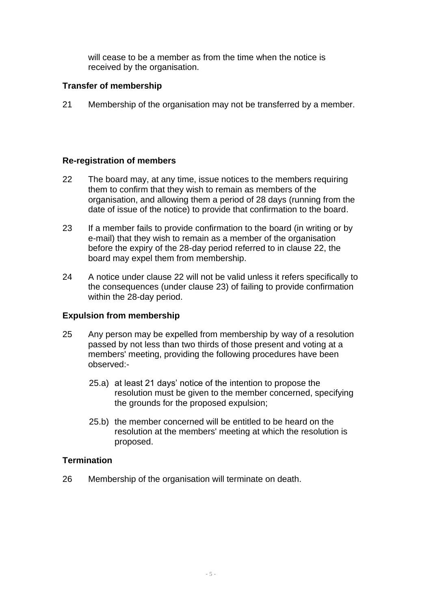will cease to be a member as from the time when the notice is received by the organisation.

## **Transfer of membership**

21 Membership of the organisation may not be transferred by a member.

## **Re-registration of members**

- <span id="page-4-1"></span>22 The board may, at any time, issue notices to the members requiring them to confirm that they wish to remain as members of the organisation, and allowing them a period of 28 days (running from the date of issue of the notice) to provide that confirmation to the board.
- <span id="page-4-2"></span>23 If a member fails to provide confirmation to the board (in writing or by e-mail) that they wish to remain as a member of the organisation before the expiry of the 28-day period referred to in clause [22,](#page-4-1) the board may expel them from membership.
- 24 A notice under clause [22](#page-4-1) will not be valid unless it refers specifically to the consequences (under clause [23\)](#page-4-2) of failing to provide confirmation within the 28-day period.

# **Expulsion from membership**

- <span id="page-4-3"></span>25 Any person may be expelled from membership by way of a resolution passed by not less than two thirds of those present and voting at a members' meeting, providing the following procedures have been observed:-
	- 25.a) at least 21 days' notice of the intention to propose the resolution must be given to the member concerned, specifying the grounds for the proposed expulsion;
	- 25.b) the member concerned will be entitled to be heard on the resolution at the members' meeting at which the resolution is proposed.

#### **Termination**

<span id="page-4-0"></span>26 Membership of the organisation will terminate on death.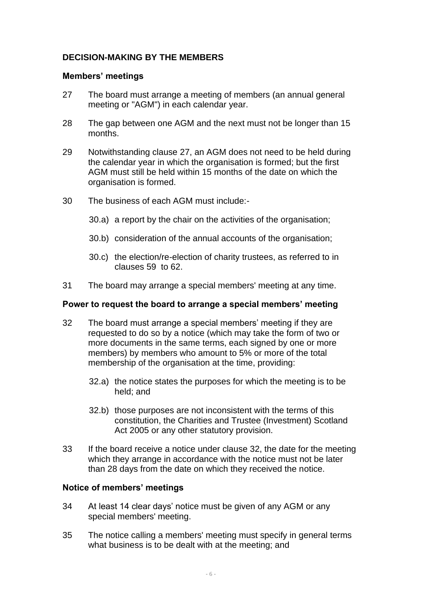# **DECISION-MAKING BY THE MEMBERS**

#### **Members' meetings**

- <span id="page-5-0"></span>27 The board must arrange a meeting of members (an annual general meeting or "AGM") in each calendar year.
- 28 The gap between one AGM and the next must not be longer than 15 months.
- 29 Notwithstanding clause [27,](#page-5-0) an AGM does not need to be held during the calendar year in which the organisation is formed; but the first AGM must still be held within 15 months of the date on which the organisation is formed.
- 30 The business of each AGM must include:-
	- 30.a) a report by the chair on the activities of the organisation;
	- 30.b) consideration of the annual accounts of the organisation;
	- 30.c) the election/re-election of charity trustees, as referred to in clauses [59](#page-9-0) to [62.](#page-9-1)
- 31 The board may arrange a special members' meeting at any time.

#### **Power to request the board to arrange a special members' meeting**

- <span id="page-5-1"></span>32 The board must arrange a special members' meeting if they are requested to do so by a notice (which may take the form of two or more documents in the same terms, each signed by one or more members) by members who amount to 5% or more of the total membership of the organisation at the time, providing:
	- 32.a) the notice states the purposes for which the meeting is to be held; and
	- 32.b) those purposes are not inconsistent with the terms of this constitution, the Charities and Trustee (Investment) Scotland Act 2005 or any other statutory provision.
- 33 If the board receive a notice under clause [32,](#page-5-1) the date for the meeting which they arrange in accordance with the notice must not be later than 28 days from the date on which they received the notice.

#### **Notice of members' meetings**

- <span id="page-5-2"></span>34 At least 14 clear days' notice must be given of any AGM or any special members' meeting.
- 35 The notice calling a members' meeting must specify in general terms what business is to be dealt with at the meeting; and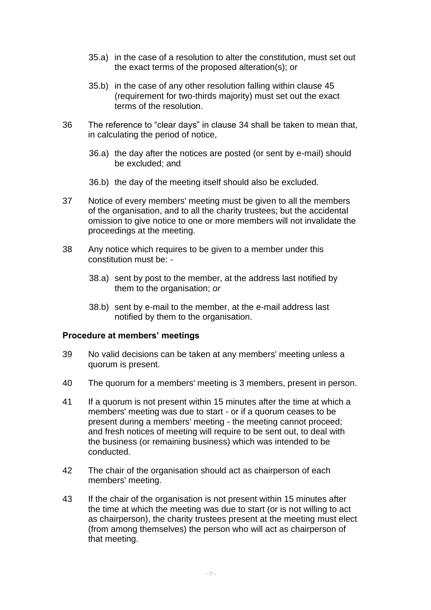- 35.a) in the case of a resolution to alter the constitution, must set out the exact terms of the proposed alteration(s); or
- 35.b) in the case of any other resolution falling within clause 45 (requirement for two-thirds majority) must set out the exact terms of the resolution.
- 36 The reference to "clear days" in clause [34](#page-5-2) shall be taken to mean that, in calculating the period of notice,
	- 36.a) the day after the notices are posted (or sent by e-mail) should be excluded; and
	- 36.b) the day of the meeting itself should also be excluded.
- 37 Notice of every members' meeting must be given to all the members of the organisation, and to all the charity trustees; but the accidental omission to give notice to one or more members will not invalidate the proceedings at the meeting.
- 38 Any notice which requires to be given to a member under this constitution must be: -
	- 38.a) sent by post to the member, at the address last notified by them to the organisation; *or*
	- 38.b) sent by e-mail to the member, at the e-mail address last notified by them to the organisation.

#### **Procedure at members' meetings**

- 39 No valid decisions can be taken at any members' meeting unless a quorum is present.
- 40 The quorum for a members' meeting is 3 members, present in person.
- 41 If a quorum is not present within 15 minutes after the time at which a members' meeting was due to start - or if a quorum ceases to be present during a members' meeting - the meeting cannot proceed; and fresh notices of meeting will require to be sent out, to deal with the business (or remaining business) which was intended to be conducted.
- 42 The chair of the organisation should act as chairperson of each members' meeting.
- 43 If the chair of the organisation is not present within 15 minutes after the time at which the meeting was due to start (or is not willing to act as chairperson), the charity trustees present at the meeting must elect (from among themselves) the person who will act as chairperson of that meeting.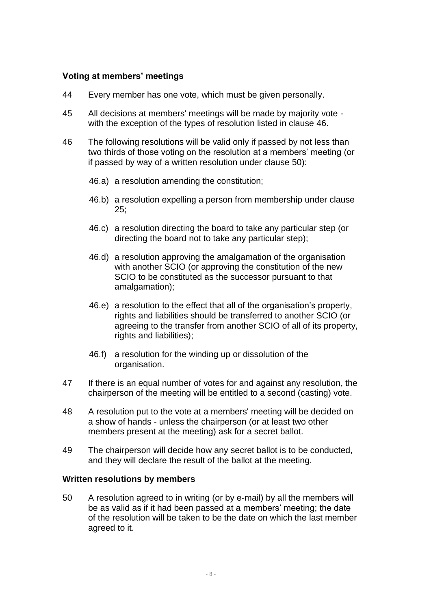## **Voting at members' meetings**

- 44 Every member has one vote, which must be given personally.
- 45 All decisions at members' meetings will be made by majority vote with the exception of the types of resolution listed in clause [46.](#page-7-0)
- <span id="page-7-0"></span>46 The following resolutions will be valid only if passed by not less than two thirds of those voting on the resolution at a members' meeting (or if passed by way of a written resolution under clause [50\)](#page-7-1):
	- 46.a) a resolution amending the constitution;
	- 46.b) a resolution expelling a person from membership under clause [25;](#page-4-3)
	- 46.c) a resolution directing the board to take any particular step (or directing the board not to take any particular step);
	- 46.d) a resolution approving the amalgamation of the organisation with another SCIO (or approving the constitution of the new SCIO to be constituted as the successor pursuant to that amalgamation);
	- 46.e) a resolution to the effect that all of the organisation's property, rights and liabilities should be transferred to another SCIO (or agreeing to the transfer from another SCIO of all of its property, rights and liabilities);
	- 46.f) a resolution for the winding up or dissolution of the organisation.
- 47 If there is an equal number of votes for and against any resolution, the chairperson of the meeting will be entitled to a second (casting) vote.
- 48 A resolution put to the vote at a members' meeting will be decided on a show of hands - unless the chairperson (or at least two other members present at the meeting) ask for a secret ballot.
- 49 The chairperson will decide how any secret ballot is to be conducted, and they will declare the result of the ballot at the meeting.

#### **Written resolutions by members**

<span id="page-7-1"></span>50 A resolution agreed to in writing (or by e-mail) by all the members will be as valid as if it had been passed at a members' meeting; the date of the resolution will be taken to be the date on which the last member agreed to it.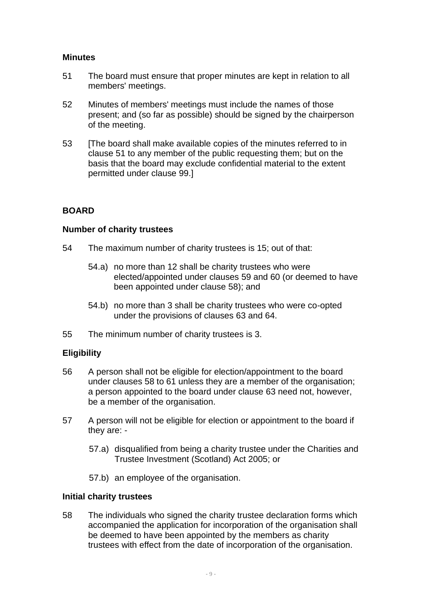## **Minutes**

- <span id="page-8-2"></span>51 The board must ensure that proper minutes are kept in relation to all members' meetings.
- 52 Minutes of members' meetings must include the names of those present; and (so far as possible) should be signed by the chairperson of the meeting.
- <span id="page-8-0"></span>53 [The board shall make available copies of the minutes referred to in clause [51](#page-8-2) to any member of the public requesting them; but on the basis that the board may exclude confidential material to the extent permitted under clause [99.](#page-15-0)]

# **BOARD**

#### **Number of charity trustees**

- <span id="page-8-1"></span>54 The maximum number of charity trustees is 15; out of that:
	- 54.a) no more than 12 shall be charity trustees who were elected/appointed under clauses [59](#page-9-0) and [60](#page-9-2) (or deemed to have been appointed under clause [58\)](#page-8-3); and
	- 54.b) no more than 3 shall be charity trustees who were co-opted under the provisions of clauses [63](#page-9-3) and [64.](#page-9-4)
- 55 The minimum number of charity trustees is 3.

# **Eligibility**

- 56 A person shall not be eligible for election/appointment to the board under clauses 58 to 61 unless they are a member of the organisation; a person appointed to the board under clause [63](#page-9-3) need not, however, be a member of the organisation.
- <span id="page-8-4"></span>57 A person will not be eligible for election or appointment to the board if they are: -
	- 57.a) disqualified from being a charity trustee under the Charities and Trustee Investment (Scotland) Act 2005; or
	- 57.b) an employee of the organisation.

#### **Initial charity trustees**

<span id="page-8-3"></span>58 The individuals who signed the charity trustee declaration forms which accompanied the application for incorporation of the organisation shall be deemed to have been appointed by the members as charity trustees with effect from the date of incorporation of the organisation.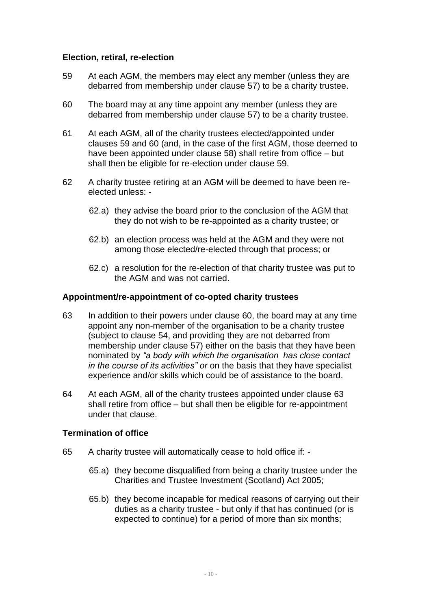#### **Election, retiral, re-election**

- <span id="page-9-0"></span>59 At each AGM, the members may elect any member (unless they are debarred from membership under clause [57\)](#page-8-4) to be a charity trustee.
- <span id="page-9-2"></span>60 The board may at any time appoint any member (unless they are debarred from membership under clause [57\)](#page-8-4) to be a charity trustee.
- 61 At each AGM, all of the charity trustees elected/appointed under clauses [59](#page-9-0) and [60](#page-9-2) (and, in the case of the first AGM, those deemed to have been appointed under clause [58\)](#page-8-3) shall retire from office – but shall then be eligible for re-election under clause [59.](#page-9-0)
- <span id="page-9-1"></span>62 A charity trustee retiring at an AGM will be deemed to have been reelected unless: -
	- 62.a) they advise the board prior to the conclusion of the AGM that they do not wish to be re-appointed as a charity trustee; or
	- 62.b) an election process was held at the AGM and they were not among those elected/re-elected through that process; or
	- 62.c) a resolution for the re-election of that charity trustee was put to the AGM and was not carried.

#### **Appointment/re-appointment of co-opted charity trustees**

- <span id="page-9-3"></span>63 In addition to their powers under clause [60,](#page-9-2) the board may at any time appoint any non-member of the organisation to be a charity trustee (subject to clause [54,](#page-8-1) and providing they are not debarred from membership under clause [57\)](#page-8-4) either on the basis that they have been nominated by *"a body with which the organisation has close contact in the course of its activities" or* on the basis that they have specialist experience and/or skills which could be of assistance to the board.
- <span id="page-9-4"></span>64 At each AGM, all of the charity trustees appointed under clause [63](#page-9-3) shall retire from office – but shall then be eligible for re-appointment under that clause.

#### **Termination of office**

- 65 A charity trustee will automatically cease to hold office if:
	- 65.a) they become disqualified from being a charity trustee under the Charities and Trustee Investment (Scotland) Act 2005;
	- 65.b) they become incapable for medical reasons of carrying out their duties as a charity trustee - but only if that has continued (or is expected to continue) for a period of more than six months;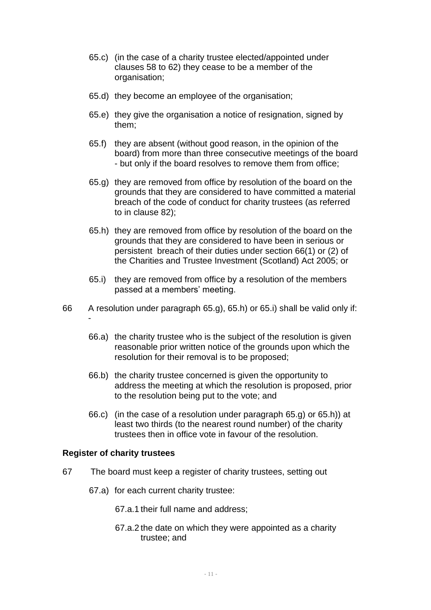- 65.c) (in the case of a charity trustee elected/appointed under clauses 58 to [62\)](#page-9-1) they cease to be a member of the organisation;
- 65.d) they become an employee of the organisation;
- 65.e) they give the organisation a notice of resignation, signed by them;
- 65.f) they are absent (without good reason, in the opinion of the board) from more than three consecutive meetings of the board - but only if the board resolves to remove them from office;
- <span id="page-10-0"></span>65.g) they are removed from office by resolution of the board on the grounds that they are considered to have committed a material breach of the code of conduct for charity trustees (as referred to in clause [82\)](#page-13-2);
- <span id="page-10-1"></span>65.h) they are removed from office by resolution of the board on the grounds that they are considered to have been in serious or persistent breach of their duties under section 66(1) or (2) of the Charities and Trustee Investment (Scotland) Act 2005; or
- <span id="page-10-2"></span>65.i) they are removed from office by a resolution of the members passed at a members' meeting.
- 66 A resolution under paragraph [65.g\),](#page-10-0) [65.h\)](#page-10-1) or [65.i\)](#page-10-2) shall be valid only if: -
	- 66.a) the charity trustee who is the subject of the resolution is given reasonable prior written notice of the grounds upon which the resolution for their removal is to be proposed;
	- 66.b) the charity trustee concerned is given the opportunity to address the meeting at which the resolution is proposed, prior to the resolution being put to the vote; and
	- 66.c) (in the case of a resolution under paragraph [65.g\)](#page-10-0) or [65.h\)\)](#page-10-1) at least two thirds (to the nearest round number) of the charity trustees then in office vote in favour of the resolution.

#### **Register of charity trustees**

- 67 The board must keep a register of charity trustees, setting out
	- 67.a) for each current charity trustee:
		- 67.a.1 their full name and address;
		- 67.a.2 the date on which they were appointed as a charity trustee; and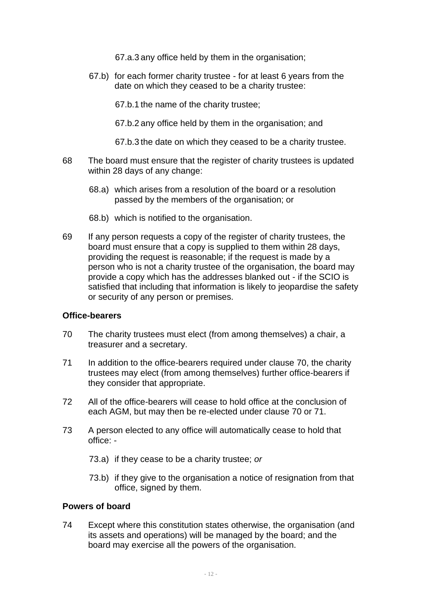67.a.3 any office held by them in the organisation;

67.b) for each former charity trustee - for at least 6 years from the date on which they ceased to be a charity trustee:

67.b.1 the name of the charity trustee;

67.b.2 any office held by them in the organisation; and

67.b.3 the date on which they ceased to be a charity trustee.

- 68 The board must ensure that the register of charity trustees is updated within 28 days of any change:
	- 68.a) which arises from a resolution of the board or a resolution passed by the members of the organisation; or
	- 68.b) which is notified to the organisation.
- 69 If any person requests a copy of the register of charity trustees, the board must ensure that a copy is supplied to them within 28 days, providing the request is reasonable; if the request is made by a person who is not a charity trustee of the organisation, the board may provide a copy which has the addresses blanked out - if the SCIO is satisfied that including that information is likely to jeopardise the safety or security of any person or premises.

#### **Office-bearers**

- <span id="page-11-0"></span>70 The charity trustees must elect (from among themselves) a chair, a treasurer and a secretary.
- <span id="page-11-1"></span>71 In addition to the office-bearers required under clause [70,](#page-11-0) the charity trustees may elect (from among themselves) further office-bearers if they consider that appropriate.
- 72 All of the office-bearers will cease to hold office at the conclusion of each AGM, but may then be re-elected under clause [70](#page-11-0) or [71.](#page-11-1)
- 73 A person elected to any office will automatically cease to hold that office: -
	- 73.a) if they cease to be a charity trustee; *or*
	- 73.b) if they give to the organisation a notice of resignation from that office, signed by them.

#### **Powers of board**

74 Except where this constitution states otherwise, the organisation (and its assets and operations) will be managed by the board; and the board may exercise all the powers of the organisation.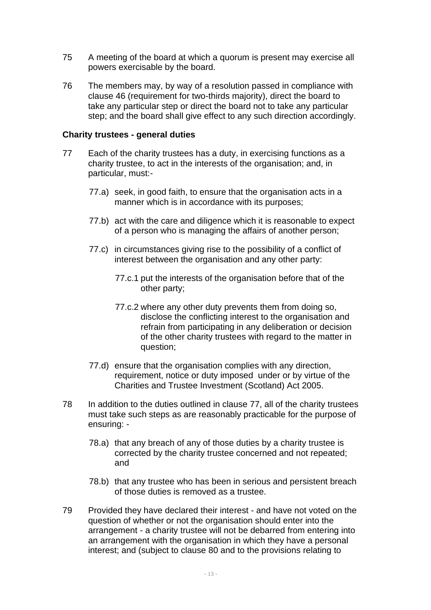- 75 A meeting of the board at which a quorum is present may exercise all powers exercisable by the board.
- 76 The members may, by way of a resolution passed in compliance with clause [46](#page-7-0) (requirement for two-thirds majority), direct the board to take any particular step or direct the board not to take any particular step; and the board shall give effect to any such direction accordingly.

#### **Charity trustees - general duties**

- <span id="page-12-0"></span>77 Each of the charity trustees has a duty, in exercising functions as a charity trustee, to act in the interests of the organisation; and, in particular, must:-
	- 77.a) seek, in good faith, to ensure that the organisation acts in a manner which is in accordance with its purposes;
	- 77.b) act with the care and diligence which it is reasonable to expect of a person who is managing the affairs of another person;
	- 77.c) in circumstances giving rise to the possibility of a conflict of interest between the organisation and any other party:
		- 77.c.1 put the interests of the organisation before that of the other party;
		- 77.c.2 where any other duty prevents them from doing so, disclose the conflicting interest to the organisation and refrain from participating in any deliberation or decision of the other charity trustees with regard to the matter in question;
	- 77.d) ensure that the organisation complies with any direction, requirement, notice or duty imposed under or by virtue of the Charities and Trustee Investment (Scotland) Act 2005.
- 78 In addition to the duties outlined in clause [77,](#page-12-0) all of the charity trustees must take such steps as are reasonably practicable for the purpose of ensuring: -
	- 78.a) that any breach of any of those duties by a charity trustee is corrected by the charity trustee concerned and not repeated; and
	- 78.b) that any trustee who has been in serious and persistent breach of those duties is removed as a trustee.
- 79 Provided they have declared their interest and have not voted on the question of whether or not the organisation should enter into the arrangement - a charity trustee will not be debarred from entering into an arrangement with the organisation in which they have a personal interest; and (subject to clause [80](#page-13-3) and to the provisions relating to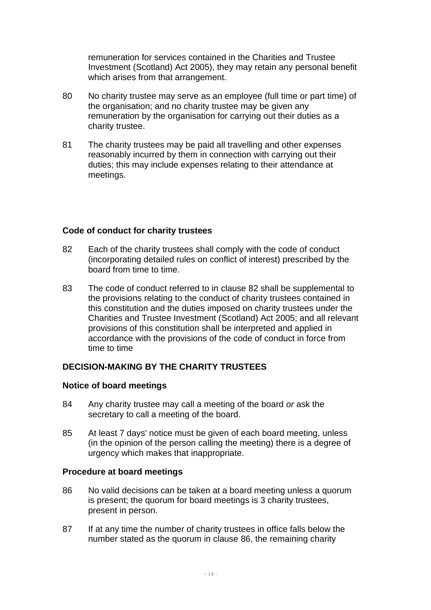remuneration for services contained in the Charities and Trustee Investment (Scotland) Act 2005), they may retain any personal benefit which arises from that arrangement.

- <span id="page-13-3"></span>80 No charity trustee may serve as an employee (full time or part time) of the organisation; and no charity trustee may be given any remuneration by the organisation for carrying out their duties as a charity trustee.
- 81 The charity trustees may be paid all travelling and other expenses reasonably incurred by them in connection with carrying out their duties; this may include expenses relating to their attendance at meetings.

#### **Code of conduct for charity trustees**

- <span id="page-13-2"></span>82 Each of the charity trustees shall comply with the code of conduct (incorporating detailed rules on conflict of interest) prescribed by the board from time to time.
- <span id="page-13-0"></span>83 The code of conduct referred to in clause [82](#page-13-2) shall be supplemental to the provisions relating to the conduct of charity trustees contained in this constitution and the duties imposed on charity trustees under the Charities and Trustee Investment (Scotland) Act 2005; and all relevant provisions of this constitution shall be interpreted and applied in accordance with the provisions of the code of conduct in force from time to time

# **DECISION-MAKING BY THE CHARITY TRUSTEES**

#### **Notice of board meetings**

- <span id="page-13-1"></span>84 Any charity trustee may call a meeting of the board *or* ask the secretary to call a meeting of the board.
- 85 At least 7 days' notice must be given of each board meeting, unless (in the opinion of the person calling the meeting) there is a degree of urgency which makes that inappropriate.

#### **Procedure at board meetings**

- <span id="page-13-4"></span>86 No valid decisions can be taken at a board meeting unless a quorum is present; the quorum for board meetings is 3 charity trustees, present in person.
- 87 If at any time the number of charity trustees in office falls below the number stated as the quorum in clause [86,](#page-13-4) the remaining charity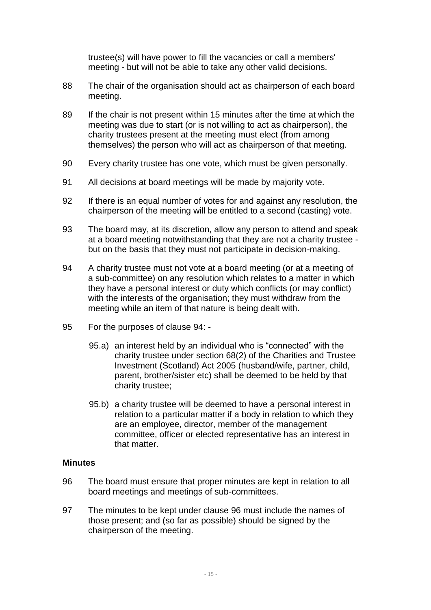trustee(s) will have power to fill the vacancies or call a members' meeting - but will not be able to take any other valid decisions.

- 88 The chair of the organisation should act as chairperson of each board meeting.
- 89 If the chair is not present within 15 minutes after the time at which the meeting was due to start (or is not willing to act as chairperson), the charity trustees present at the meeting must elect (from among themselves) the person who will act as chairperson of that meeting.
- 90 Every charity trustee has one vote, which must be given personally.
- 91 All decisions at board meetings will be made by majority vote.
- 92 If there is an equal number of votes for and against any resolution, the chairperson of the meeting will be entitled to a second (casting) vote.
- 93 The board may, at its discretion, allow any person to attend and speak at a board meeting notwithstanding that they are not a charity trustee but on the basis that they must not participate in decision-making.
- <span id="page-14-0"></span>94 A charity trustee must not vote at a board meeting (or at a meeting of a sub-committee) on any resolution which relates to a matter in which they have a personal interest or duty which conflicts (or may conflict) with the interests of the organisation; they must withdraw from the meeting while an item of that nature is being dealt with.
- 95 For the purposes of clause [94:](#page-14-0)
	- 95.a) an interest held by an individual who is "connected" with the charity trustee under section 68(2) of the Charities and Trustee Investment (Scotland) Act 2005 (husband/wife, partner, child, parent, brother/sister etc) shall be deemed to be held by that charity trustee;
	- 95.b) a charity trustee will be deemed to have a personal interest in relation to a particular matter if a body in relation to which they are an employee, director, member of the management committee, officer or elected representative has an interest in that matter.

#### **Minutes**

- <span id="page-14-1"></span>96 The board must ensure that proper minutes are kept in relation to all board meetings and meetings of sub-committees.
- 97 The minutes to be kept under clause [96](#page-14-1) must include the names of those present; and (so far as possible) should be signed by the chairperson of the meeting.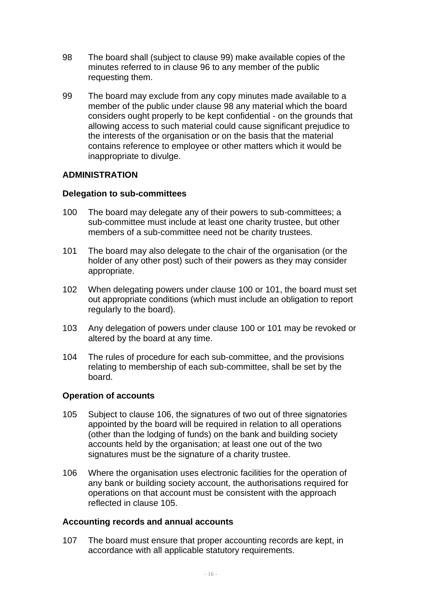- <span id="page-15-2"></span>98 The board shall (subject to clause [99\)](#page-15-0) make available copies of the minutes referred to in clause [96](#page-14-1) to any member of the public requesting them.
- <span id="page-15-0"></span>99 The board may exclude from any copy minutes made available to a member of the public under clause [98](#page-15-2) any material which the board considers ought properly to be kept confidential - on the grounds that allowing access to such material could cause significant prejudice to the interests of the organisation or on the basis that the material contains reference to employee or other matters which it would be inappropriate to divulge.

## **ADMINISTRATION**

#### **Delegation to sub-committees**

- <span id="page-15-1"></span>100 The board may delegate any of their powers to sub-committees; a sub-committee must include at least one charity trustee, but other members of a sub-committee need not be charity trustees.
- <span id="page-15-3"></span>101 The board may also delegate to the chair of the organisation (or the holder of any other post) such of their powers as they may consider appropriate.
- 102 When delegating powers under clause [100](#page-15-1) or [101,](#page-15-3) the board must set out appropriate conditions (which must include an obligation to report regularly to the board).
- 103 Any delegation of powers under clause [100](#page-15-1) or [101](#page-15-3) may be revoked or altered by the board at any time.
- 104 The rules of procedure for each sub-committee, and the provisions relating to membership of each sub-committee, shall be set by the board.

#### **Operation of accounts**

- <span id="page-15-5"></span>105 Subject to clause [106,](#page-15-4) the signatures of two out of three signatories appointed by the board will be required in relation to all operations (other than the lodging of funds) on the bank and building society accounts held by the organisation; at least one out of the two signatures must be the signature of a charity trustee.
- <span id="page-15-4"></span>106 Where the organisation uses electronic facilities for the operation of any bank or building society account, the authorisations required for operations on that account must be consistent with the approach reflected in clause [105.](#page-15-5)

#### **Accounting records and annual accounts**

107 The board must ensure that proper accounting records are kept, in accordance with all applicable statutory requirements.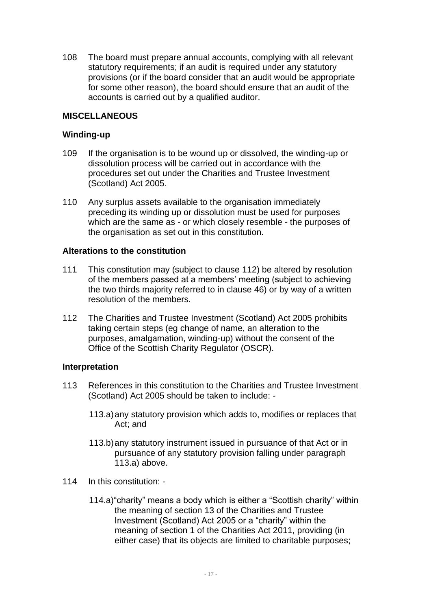<span id="page-16-0"></span>108 The board must prepare annual accounts, complying with all relevant statutory requirements; if an audit is required under any statutory provisions (or if the board consider that an audit would be appropriate for some other reason), the board should ensure that an audit of the accounts is carried out by a qualified auditor.

## **MISCELLANEOUS**

#### **Winding-up**

- <span id="page-16-1"></span>109 If the organisation is to be wound up or dissolved, the winding-up or dissolution process will be carried out in accordance with the procedures set out under the Charities and Trustee Investment (Scotland) Act 2005.
- 110 Any surplus assets available to the organisation immediately preceding its winding up or dissolution must be used for purposes which are the same as - or which closely resemble - the purposes of the organisation as set out in this constitution.

#### **Alterations to the constitution**

- 111 This constitution may (subject to clause [112\)](#page-16-3) be altered by resolution of the members passed at a members' meeting (subject to achieving the two thirds majority referred to in clause [46\)](#page-7-0) or by way of a written resolution of the members.
- <span id="page-16-3"></span>112 The Charities and Trustee Investment (Scotland) Act 2005 prohibits taking certain steps (eg change of name, an alteration to the purposes, amalgamation, winding-up) without the consent of the Office of the Scottish Charity Regulator (OSCR).

#### **Interpretation**

- <span id="page-16-4"></span>113 References in this constitution to the Charities and Trustee Investment (Scotland) Act 2005 should be taken to include: -
	- 113.a)any statutory provision which adds to, modifies or replaces that Act; and
	- 113.b)any statutory instrument issued in pursuance of that Act or in pursuance of any statutory provision falling under paragraph [113.a\)](#page-16-4) above.
- <span id="page-16-2"></span>114 In this constitution: -
	- 114.a)"charity" means a body which is either a "Scottish charity" within the meaning of section 13 of the Charities and Trustee Investment (Scotland) Act 2005 or a "charity" within the meaning of section 1 of the Charities Act 2011, providing (in either case) that its objects are limited to charitable purposes;